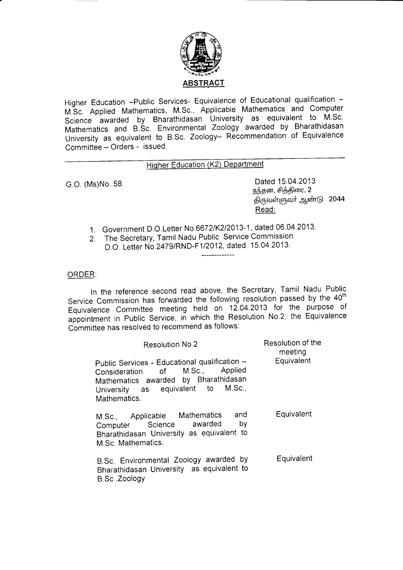

Higher Education -Public Services- Equivalence of Educational qualification -M.Sc. Applied Mathematics, M.Sc., Applicable Mathematics and Computer science pplied Mathematics, M.Sc., Applicable Mathematics and Compater<br>
awarded by Bharathidasan University as equivalent to M.Sc. Mathematics and B.Sc. Environmental Zoology awarded by Bharathidasan University as equivalent to B.Sc. Zoology- Recommendation of Equivalence Committee - Orders - issued.

## Higher Education (K2) Department

G.O. (Ms)No. 58 Dated 15.04.2013 நந்தன, சித்திரை,  $2$ திருவள்ளுவர் ஆண்டு 2044 Read:

- 1. Government D.O.Letter No 66721K212013-1, dated 06.04.2013.
- 2. The Secretary, Tamil Nadu Public Service Commission D.O. Letter No.2479/RND-F1/2012, dated 15.04.2013.

## ORDER:

ln the reference second read above, the Secretary, Tamil Nadu Public Service Commission has forwarded the following resolution passed by the 40<sup>th</sup> Equivalence Committee meeting held on 12.04.2013 for the purpose of appointment in Public Service, in which the Resolution No.2, the Equivalence Committee has resolved to recommend as follows:

| <b>Resolution No.2</b>                                                                                                                                                         | Resolution of the<br>meeting |
|--------------------------------------------------------------------------------------------------------------------------------------------------------------------------------|------------------------------|
| Public Services - Educational qualification -<br>Consideration of M.Sc., Applied<br>Mathematics awarded by Bharathidasan<br>University as equivalent to M.Sc.,<br>Mathematics. | Equivalent                   |
| and<br>M.Sc., Applicable Mathematics<br>by<br>Computer Science awarded<br>Bharathidasan University as equivalent to<br>M.Sc. Mathematics.                                      | Equivalent                   |
| B.Sc. Environmental Zoology awarded by<br>Bharathidasan University as equivalent to<br>B.Sc. Zoology                                                                           | Equivalent                   |